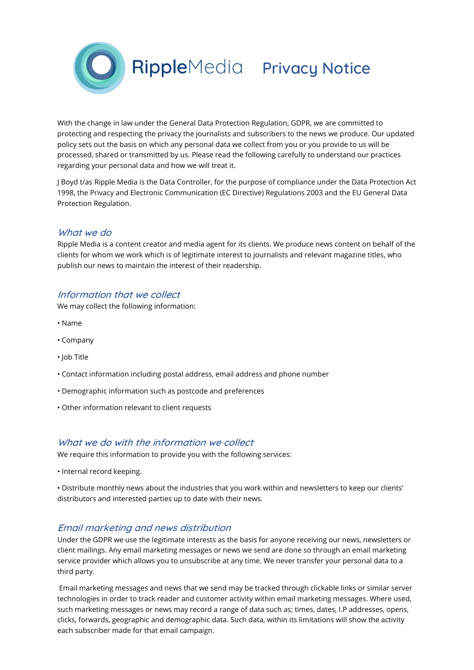

With the change in law under the General Data Protection Regulation, GDPR, we are committed to protecting and respecting the privacy the journalists and subscribers to the news we produce. Our updated policy sets out the basis on which any personal data we collect from you or you provide to us will be processed, shared or transmitted by us. Please read the following carefully to understand our practices regarding your personal data and how we will treat it.

J Boyd t/as Ripple Media is the Data Controller, for the purpose of compliance under the Data Protection Act 1998, the Privacy and Electronic Communication (EC Directive) Regulations 2003 and the EU General Data Protection Regulation.

# What we do

Ripple Media is a content creator and media agent for its clients. We produce news content on behalf of the clients for whom we work which is of legitimate interest to journalists and relevant magazine titles, who publish our news to maintain the interest of their readership.

# Information that we collect

We may collect the following information:

- Name
- Company
- Job Title
- Contact information including postal address, email address and phone number
- Demographic information such as postcode and preferences
- Other information relevant to client requests

## What we do with the information we collect

We require this information to provide you with the following services:

• Internal record keeping.

• Distribute monthly news about the industries that you work within and newsletters to keep our clients' distributors and interested parties up to date with their news.

## Email marketing and news distribution

Under the GDPR we use the legitimate interests as the basis for anyone receiving our news, newsletters or client mailings. Any email marketing messages or news we send are done so through an email marketing service provider which allows you to unsubscribe at any time. We never transfer your personal data to a third party.

 Email marketing messages and news that we send may be tracked through clickable links or similar server technologies in order to track reader and customer activity within email marketing messages. Where used, such marketing messages or news may record a range of data such as; times, dates, I.P addresses, opens, clicks, forwards, geographic and demographic data. Such data, within its limitations will show the activity each subscriber made for that email campaign.